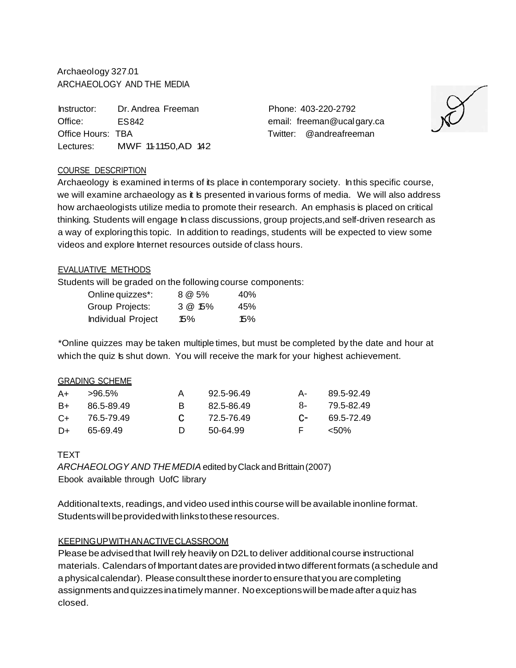Archaeology 327.01 ARCHAEOLOGY AND THE MEDIA

Instructor: Dr. Andrea Freeman Office: ES842 Office Hours: TBA Lectures: MWF 11-11:50, AD 142 Phone: 403-220-2792 email: freeman@ucalgary.ca Twitter: @andreafreeman



### COURSE DESCRIPTION

Archaeology is examined in terms of its place in contemporary society. In this specific course, we will examine archaeology as it is presented in various forms of media. We will also address how archaeologists utilize media to promote their research. An emphasis is placed on critical thinking. Students will engage In class discussions, group projects,and self-driven research as a way of exploringthis topic. In addition to readings, students will be expected to view some videos and explore Internet resources outside of class hours.

#### EVALUATIVE METHODS

Students will be graded on the following course components:

| Online quizzes*:          | 8 @ 5%     | 40% |
|---------------------------|------------|-----|
| Group Projects:           | $3 @ 15\%$ | 45% |
| <b>Individual Project</b> | 15%        | 15% |

\*Online quizzes may be taken multiple times, but must be completed by the date and hour at which the quiz Is shut down. You will receive the mark for your highest achievement.

#### GRADING SCHEME

| A+    | >96.5%     |    | 92 5-96.49 | А- | 89 5-92 49      |
|-------|------------|----|------------|----|-----------------|
| B+    | 86.5-89.49 | R. | 82 5-86 49 |    | 8- 79.5-82.49   |
| $C++$ | 76.5-79.49 |    | 72.5-76.49 |    | $C-$ 69.5-72.49 |
| D+    | 65-69.49   | D. | 50-64.99   | E. | <50%            |

#### **TEXT**

ARCHAEOLOGY AND THEMEDIA edited by Clack and Brittain (2007) Ebook available through UofC library

Additional texts, readings, and video used inthis course will be available inonline format. Studentswillbeprovidedwithlinkstothese resources.

#### KEEPINGUPWITHANACTIVECLASSROOM

Please be advised that Iwill rely heavily on D2L to deliver additional course instructional materials. Calendars of Important dates are provided in two different formats (a schedule and a physical calendar). Please consult these inorder to ensure that you are completing assignments andquizzesinatimelymanner. Noexceptionswillbemadeafter aquizhas closed.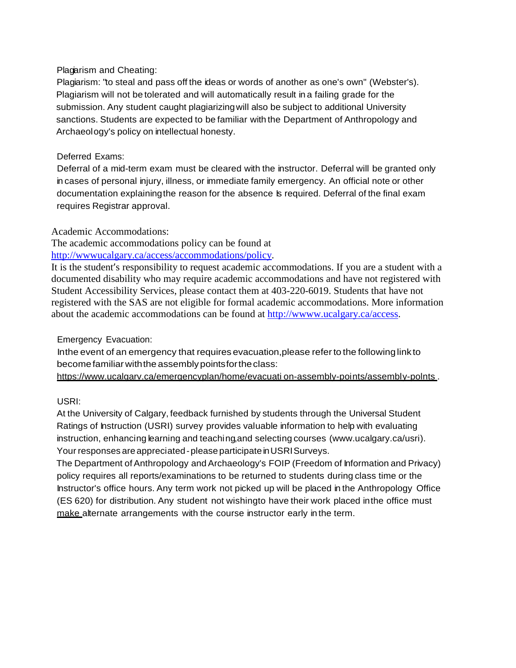### Plagarism and Cheating:

Plagiarism: "to steal and pass off the ideas or words of another as one's own" (Webster's). Plagiarism will not be tolerated and will automatically result in a failing grade for the submission. Any student caught plagiarizingwill also be subject to additional University sanctions. Students are expected to be familiar with the Department of Anthropology and Archaeology's policy on intellectual honesty.

## Deferred Exams:

Deferral of a mid-term exam must be cleared with the instructor. Deferral will be granted only in cases of personal injury, illness, or immediate family emergency. An official note or other documentation explaining the reason for the absence Is required. Deferral of the final exam requires Registrar approval.

Academic Accommodations:

The academic accommodations policy can be found at [http://wwwucalgary.ca/access/accommodations/policy.](http://wwwucalgary.ca/access/accommodations/policy)

It is the student's responsibility to request academic accommodations. If you are a student with a documented disability who may require academic accommodations and have not registered with Student Accessibility Services, please contact them at 403-220-6019. Students that have not registered with the SAS are not eligible for formal academic accommodations. More information about the academic accommodations can be found at [http://wwww.ucalgary.ca/access.](http://wwww.ucalgary.ca/access)

# Emergency Evacuation:

Inthe event of an emergency that requires evacuation,please referto the followinglink to become familiar with the assembly points for the class:

[https://www.u](http://www.ucalgarv.ca/emergencyplan/home/evacuati)ca[lgarv.ca/emergencyplan/home/evacuati](http://www.ucalgarv.ca/emergencyplan/home/evacuati) on-assembly-points/assembly-polnts.

# USRI:

At the University of Calgary, feedback furnished by students through the Universal Student Ratings of Instruction (USRI) survey provides valuable information to help with evaluating instruction, enhancing learning and teaching,and selecting courses [\(www.ucalgary.ca/usri\).](http://www.ucalgary.ca/usri)) Your responses are appreciated-please participate in USRI Surveys.

The Department of Anthropology and Archaeology's FOIP (Freedom of Information and Privacy) policy requires all reports/examinations to be returned to students during class time or the Instructor's office hours. Any term work not picked up will be placed in the Anthropology Office (ES 620) for distribution. Any student not wishingto have their work placed inthe office must make alternate arrangements with the course instructor early in the term.